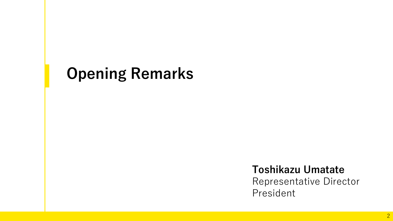# **Opening Remarks**

**Toshikazu Umatate** 

Representative Director President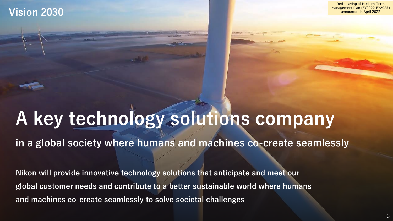### Redisplaying of Medium-Term Management Plan (FY2022-FY2025) announced in April 2022

### **Vision 2030**

# **A key technology solutions company**

**in a global society where humans and machines co-create seamlessly**

**Nikon will provide innovative technology solutions that anticipate and meet our global customer needs and contribute to a better sustainable world where humans and machines co-create seamlessly to solve societal challenges**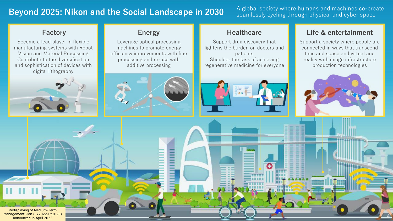### **Beyond 2025: Nikon and the Social Landscape in 2030** A global society where humans and machines co-create

seamlessly cycling through physical and cyber space

Become a lead player in flexible manufacturing systems with Robot Vision and Material Processing Contribute to the diversification and sophistication of devices with digital lithography



Leverage optical processing machines to promote energy efficiency improvements with fine processing and re-use with additive processing



Support drug discovery that lightens the burden on doctors and patients Shoulder the task of achieving regenerative medicine for everyone

### **Factory Energy Energy Healthcare Life & entertainment**

Support a society where people are connected in ways that transcend time and space and virtual and reality with image infrastructure production technologies



4

Redisplaying of Medium-Term Management Plan (FY2022-FY2025) announced in April 2022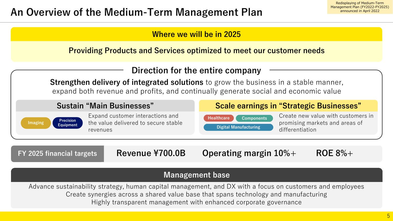

**Providing Products and Services optimized to meet our customer needs**



### **Management base**

Advance sustainability strategy, human capital management, and DX with a focus on customers and employees Create synergies across a shared value base that spans technology and manufacturing Highly transparent management with enhanced corporate governance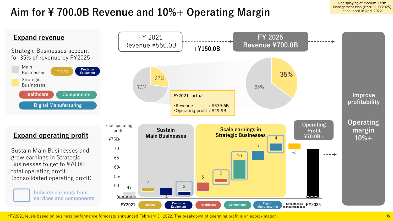Redisplaying of Medium-Term Management Plan (FY2022-FY2025) announced in April 2022

## **Aim for ¥ 700.0B Revenue and 10%+ Operating Margin**



\*FY2021 levels based on business performance forecasts announced February 3. 2022. The breakdown of operating profit is an approximation.